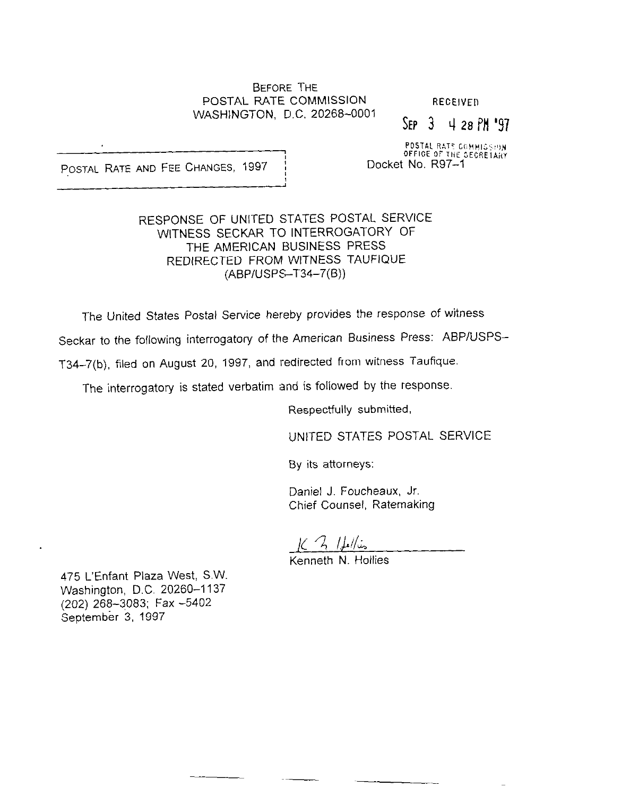#### BEFORE THE POSTAL RATE COMMISSION RECEIVED WASHINGTON, D.C. 20268-0001

## $Sep$   $3$   $4$  28  $PM$  '97

POSTAL RATE COMMISSION<br>POSTAL RATE AND FEE CHANGES, 1997 in the Docket No. R97-1

## RESPONSE OF UNITED STATES POSTAL SERVICE WITNESS SECKAR TO INTERROGATORY OF THE AMERICAN BUSINESS PRESS REDIRECTED FROM WITNESS TAUFIQUE (ABP/USPS-T34-7(B))

The United States Postal Service hereby provides the response of witness

Seckar to the following interrogatory of the American Business Press: ABPIUSPS-

T34-7(b), filed on August 20, 1997, and redirected from witness Taufique.

The interrogatory is stated verbatim and is followed by the response.

Respectfully submitted,

UNITED STATES POSTAL SERVICE

By its attorneys:

Daniel J. Foucheaux, Jr. Chief Counsel, Ratemaking

 $K$   $\frac{1}{2}$   $\frac{1}{2}$ 

Kenneth N. Hollies

475 L'Enfant Plaza West, SW. Washington, D.C. 20260-1137 (202) 268-3083; Fax -5402 September 3, 1997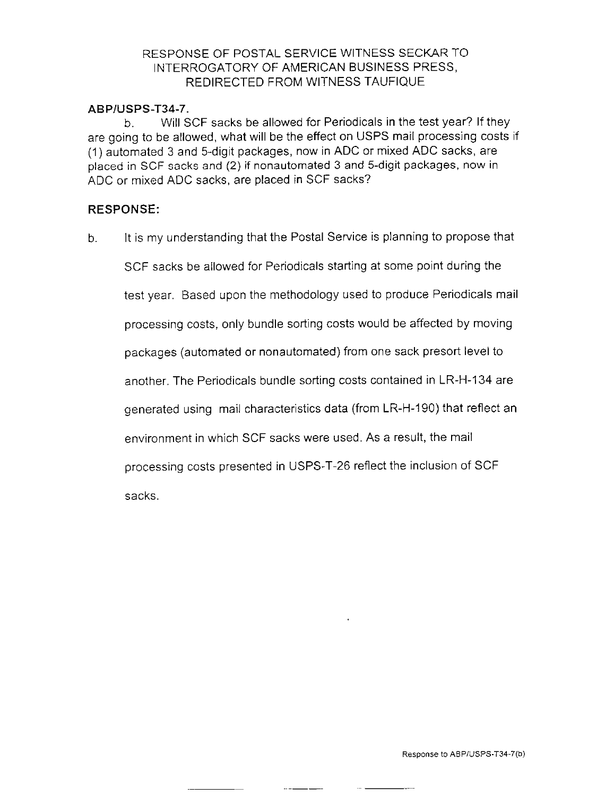## RESPONSE OF POSTAIL SERVICE WITNESS SECKAR TO INTERROGATORY OF AMERICAN BUSINESS PRESS, REDIRECTED FROM WITNESS TAUFIQUE

#### ABPIUSPS-T34-7.

b. Will SCF sacks be allowed for Periodicals in the test year? If they are going to be allowed, what will be the effect on USPS mail processing costs if (1) automated 3 and 5-digit packages, now in ADC or mixed ADC sacks, are placed in SCF sacks and (2) if nonautomated 3 and 5-digit packages, now in ADC or mixed ADC sacks, are placed in SCF sacks?

## RESPONSE:

b. It is my understanding that the Postal Service is planning to propose that

SCF sacks be allowed for Periodicals starting at some point during the

test year. Based upon the methodology used to produce Periodicals mail

processing costs, only bundle sorting costs would be affected by moving

packages (automated or nonautomated) from one sack presort level to

another. The Periodicals bundle sorting costs contained in LR-H-134 are

generated using mail characteristics data (from LR-H-190) that reflect an

environment in which SCF sacks were used. As a result, the mail

processing costs presented in USPS-T-26 reflect the inclusion of SCF

sacks.

.-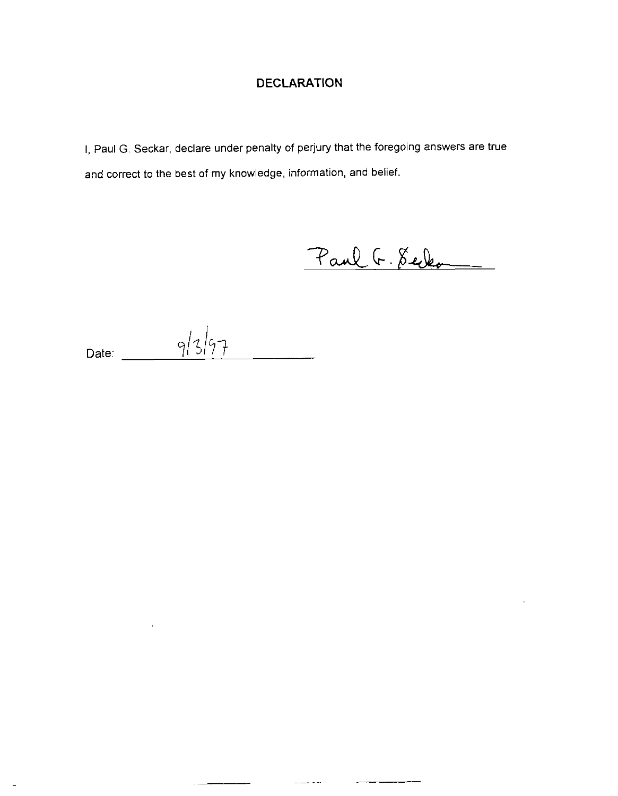# DECLARATION

I, Paul G. Seckar, declare under penalty of perjury that the foregoing answers are true and correct to the best of my knowledge, information, and belief.

Paul G. Selen

 $\overline{a}$  and  $\overline{a}$  and  $\overline{a}$ 

 $\frac{1}{2}$ 

 $\mathbb{R}$ 

Date:  $9/3/97$  $\overline{\phantom{a}}$